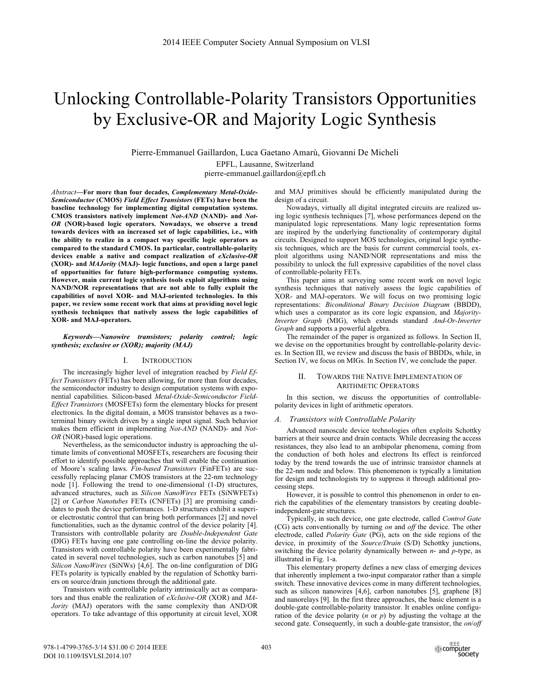# Unlocking Controllable-Polarity Transistors Opportunities by Exclusive-OR and Majority Logic Synthesis

Pierre-Emmanuel Gaillardon, Luca Gaetano Amarù, Giovanni De Micheli EPFL, Lausanne, Switzerland pierre-emmanuel.gaillardon@epfl.ch

*Abstract***—For more than four decades,** *Complementary Metal-Oxide-Semiconductor* **(CMOS)** *Field Effect Transistors* **(FETs) have been the baseline technology for implementing digital computation systems. CMOS transistors natively implement** *Not-AND* **(NAND)- and** *Not-OR* **(NOR)-based logic operators. Nowadays, we observe a trend towards devices with an increased set of logic capabilities, i.e., with the ability to realize in a compact way specific logic operators as compared to the standard CMOS. In particular, controllable-polarity devices enable a native and compact realization of** *eXclusive-OR* **(XOR)- and** *MAJority* **(MAJ)- logic functions, and open a large panel of opportunities for future high-performance computing systems. However, main current logic synthesis tools exploit algorithms using NAND/NOR representations that are not able to fully exploit the capabilities of novel XOR- and MAJ-oriented technologies. In this paper, we review some recent work that aims at providing novel logic synthesis techniques that natively assess the logic capabilities of XOR- and MAJ-operators.** 

# *Keywords—Nanowire transistors; polarity control; logic synthesis; exclusive or (XOR); majority (MAJ)*

## I. INTRODUCTION

The increasingly higher level of integration reached by *Field Effect Transistors* (FETs) has been allowing, for more than four decades, the semiconductor industry to design computation systems with exponential capabilities. Silicon-based *Metal-Oxide-Semiconductor Field-Effect Transistors* (MOSFETs) form the elementary blocks for present electronics. In the digital domain, a MOS transistor behaves as a twoterminal binary switch driven by a single input signal. Such behavior makes them efficient in implementing *Not-AND* (NAND)- and *Not-OR* (NOR)-based logic operations.

Nevertheless, as the semiconductor industry is approaching the ultimate limits of conventional MOSFETs, researchers are focusing their effort to identify possible approaches that will enable the continuation of Moore's scaling laws. *Fin-based Transistors* (FinFETs) are successfully replacing planar CMOS transistors at the 22-nm technology node [1]. Following the trend to one-dimensional (1-D) structures, advanced structures, such as *Silicon NanoWires* FETs (SiNWFETs) [2] or *Carbon Nanotubes* FETs (CNFETs) [3] are promising candidates to push the device performances. 1-D structures exhibit a superior electrostatic control that can bring both performances [2] and novel functionalities, such as the dynamic control of the device polarity [4]. Transistors with controllable polarity are *Double-Independent Gate*  (DIG) FETs having one gate controlling on-line the device polarity. Transistors with controllable polarity have been experimentally fabricated in several novel technologies, such as carbon nanotubes [5] and *Silicon NanoWires* (SiNWs) [4,6]. The on-line configuration of DIG FETs polarity is typically enabled by the regulation of Schottky barriers on source/drain junctions through the additional gate.

Transistors with controllable polarity intrinsically act as comparators and thus enable the realization of *eXclusive-OR* (XOR) and *MA-Jority* (MAJ) operators with the same complexity than AND/OR operators. To take advantage of this opportunity at circuit level, XOR and MAJ primitives should be efficiently manipulated during the design of a circuit.

Nowadays, virtually all digital integrated circuits are realized using logic synthesis techniques [7], whose performances depend on the manipulated logic representations. Many logic representation forms are inspired by the underlying functionality of contemporary digital circuits. Designed to support MOS technologies, original logic synthesis techniques, which are the basis for current commercial tools, exploit algorithms using NAND/NOR representations and miss the possibility to unlock the full expressive capabilities of the novel class of controllable-polarity FETs.

This paper aims at surveying some recent work on novel logic synthesis techniques that natively assess the logic capabilities of XOR- and MAJ-operators. We will focus on two promising logic representations: *Biconditional Binary Decision Diagram* (BBDD), which uses a comparator as its core logic expansion, and *Majority-Inverter Graph* (MIG), which extends standard *And-Or-Inverter Graph* and supports a powerful algebra.

The remainder of the paper is organized as follows. In Section II, we devise on the opportunities brought by controllable-polarity devices. In Section III, we review and discuss the basis of BBDDs, while, in Section IV, we focus on MIGs. In Section IV, we conclude the paper.

# TOWARDS THE NATIVE IMPLEMENTATION OF ARITHMETIC OPERATORS

In this section, we discuss the opportunities of controllablepolarity devices in light of arithmetic operators.

# *A. Transistors with Controllable Polarity*

Advanced nanoscale device technologies often exploits Schottky barriers at their source and drain contacts. While decreasing the access resistances, they also lead to an ambipolar phenomena, coming from the conduction of both holes and electrons Its effect is reinforced today by the trend towards the use of intrinsic transistor channels at the 22-nm node and below. This phenomenon is typically a limitation for design and technologists try to suppress it through additional processing steps.

However, it is possible to control this phenomenon in order to enrich the capabilities of the elementary transistors by creating doubleindependent-gate structures.

Typically, in such device, one gate electrode, called *Control Gate* (CG) acts conventionally by turning *on* and *off* the device. The other electrode, called *Polarity Gate* (PG), acts on the side regions of the device, in proximity of the *Source/Drain* (S/D) Schottky junctions, switching the device polarity dynamically between *n*- and *p*-type, as illustrated in Fig. 1-a.

This elementary property defines a new class of emerging devices that inherently implement a two-input comparator rather than a simple switch. These innovative devices come in many different technologies, such as silicon nanowires [4,6], carbon nanotubes [5], graphene [8] and nanorelays [9]. In the first three approaches, the basic element is a double-gate controllable-polarity transistor. It enables online configuration of the device polarity (*n* or *p*) by adjusting the voltage at the second gate. Consequently, in such a double-gate transistor, the *on*/*off*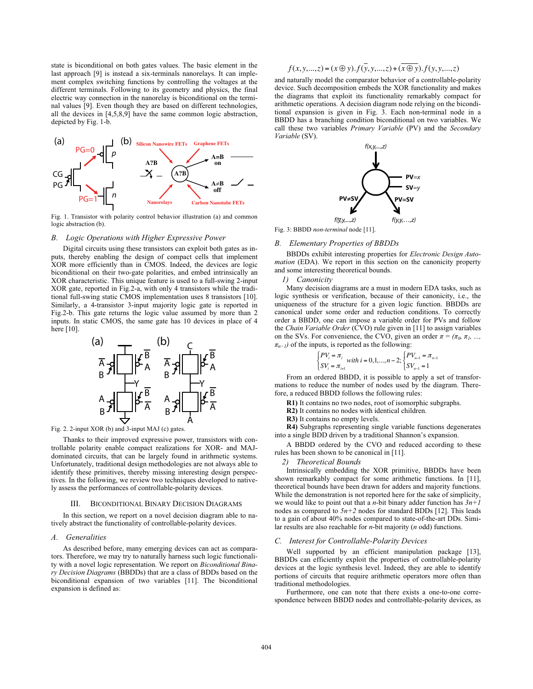state is biconditional on both gates values. The basic element in the last approach [9] is instead a six-terminals nanorelays. It can implement complex switching functions by controlling the voltages at the different terminals. Following to its geometry and physics, the final electric way connection in the nanorelay is biconditional on the terminal values [9]. Even though they are based on different technologies, all the devices in [4,5,8,9] have the same common logic abstraction, depicted by Fig. 1-b.



Fig. 1. Transistor with polarity control behavior illustration (a) and common logic abstraction (b).

# *B. Logic Operations with Higher Expressive Power*

Digital circuits using these transistors can exploit both gates as inputs, thereby enabling the design of compact cells that implement XOR more efficiently than in CMOS. Indeed, the devices are logic biconditional on their two-gate polarities, and embed intrinsically an XOR characteristic. This unique feature is used to a full-swing 2-input XOR gate, reported in Fig.2-a, with only 4 transistors while the traditional full-swing static CMOS implementation uses 8 transistors [10]. Similarly, a 4-transistor 3-input majority logic gate is reported in Fig.2-b. This gate returns the logic value assumed by more than 2 inputs. In static CMOS, the same gate has 10 devices in place of 4 here [10].



Fig. 2. 2-input XOR (b) and 3-input MAJ (c) gates.

Thanks to their improved expressive power, transistors with controllable polarity enable compact realizations for XOR- and MAJdominated circuits, that can be largely found in arithmetic systems. Unfortunately, traditional design methodologies are not always able to identify these primitives, thereby missing interesting design perspectives. In the following, we review two techniques developed to natively assess the performances of controllable-polarity devices.

#### III. BICONDITIONAL BINARY DECISION DIAGRAMS

In this section, we report on a novel decision diagram able to natively abstract the functionality of controllable-polarity devices.

## *A. Generalities*

As described before, many emerging devices can act as comparators. Therefore, we may try to naturally harness such logic functionality with a novel logic representation. We report on *Biconditional Binary Decision Diagrams* (BBDDs) that are a class of BDDs based on the biconditional expansion of two variables [11]. The biconditional expansion is defined as:

$$
f(x, y, ..., z) = (x \oplus y) \cdot f(y, y, ..., z) + (x \oplus y) \cdot f(y, y, ..., z)
$$

and naturally model the comparator behavior of a controllable-polarity device. Such decomposition embeds the XOR functionality and makes the diagrams that exploit its functionality remarkably compact for arithmetic operations. A decision diagram node relying on the biconditional expansion is given in Fig. 3. Each non-terminal node in a BBDD has a branching condition biconditional on two variables. We call these two variables *Primary Variable* (PV) and the *Secondary Variable* (SV).



## *B. Elementary Properties of BBDDs*

BBDDs exhibit interesting properties for *Electronic Design Automation* (EDA). We report in this section on the canonicity property and some interesting theoretical bounds.

*1) Canonicity* 

Many decision diagrams are a must in modern EDA tasks, such as logic synthesis or verification, because of their canonicity, i.e., the uniqueness of the structure for a given logic function. BBDDs are canonical under some order and reduction conditions. To correctly order a BBDD, one can impose a variable order for PVs and follow the *Chain Variable Order* (CVO) rule given in [11] to assign variables on the SVs. For convenience, the CVO, given an order  $\pi = (\pi_0, \pi_1, \ldots, \pi_n)$  $\pi_{n-1}$ ) of the inputs, is reported as the following:

$$
\begin{cases} PV_i = \pi_i & \text{with } i = 0, 1, ..., n-2; \\ SV_i = \pi_{i+1} & \text{with } i = 0, 1, ..., n-2; \end{cases} \begin{cases} PV_{n-1} = \pi_{n-1} \\ SV_{n-1} = 1 \end{cases}
$$

From an ordered BBDD, it is possible to apply a set of transformations to reduce the number of nodes used by the diagram. Therefore, a reduced BBDD follows the following rules:

**R1)** It contains no two nodes, root of isomorphic subgraphs.

- **R2)** It contains no nodes with identical children.
- **R3)** It contains no empty levels.

**R4)** Subgraphs representing single variable functions degenerates into a single BDD driven by a traditional Shannon's expansion.

A BBDD ordered by the CVO and reduced according to these rules has been shown to be canonical in [11].

#### *2) Theoretical Bounds*

Intrinsically embedding the XOR primitive, BBDDs have been shown remarkably compact for some arithmetic functions. In [11], theoretical bounds have been drawn for adders and majority functions. While the demonstration is not reported here for the sake of simplicity, we would like to point out that a *n*-bit binary adder function has  $3n+1$ nodes as compared to *5n+2* nodes for standard BDDs [12]. This leads to a gain of about 40% nodes compared to state-of-the-art DDs. Similar results are also reachable for *n*-bit majority (*n* odd) functions.

## *C. Interest for Controllable-Polarity Devices*

Well supported by an efficient manipulation package [13], BBDDs can efficiently exploit the properties of controllable-polarity devices at the logic synthesis level. Indeed, they are able to identify portions of circuits that require arithmetic operators more often than traditional methodologies.

Furthermore, one can note that there exists a one-to-one correspondence between BBDD nodes and controllable-polarity devices, as